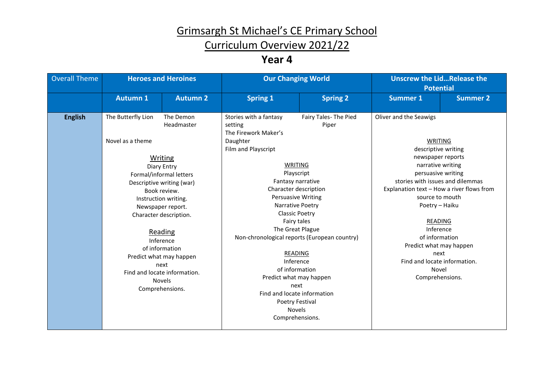# Grimsargh St Michael's CE Primary School

## Curriculum Overview 2021/22

### **Year 4**

| <b>Overall Theme</b> | <b>Heroes and Heroines</b>             |                                                                                                                                                                                                                                                                                                                                                          | <b>Our Changing World</b>                                                                                                                                                                                                                                                                                                                                                                                                                                                                    |                                | <b>Unscrew the LidRelease the</b><br><b>Potential</b>                                                                                                                                                                                                                                                                                                                                          |                 |
|----------------------|----------------------------------------|----------------------------------------------------------------------------------------------------------------------------------------------------------------------------------------------------------------------------------------------------------------------------------------------------------------------------------------------------------|----------------------------------------------------------------------------------------------------------------------------------------------------------------------------------------------------------------------------------------------------------------------------------------------------------------------------------------------------------------------------------------------------------------------------------------------------------------------------------------------|--------------------------------|------------------------------------------------------------------------------------------------------------------------------------------------------------------------------------------------------------------------------------------------------------------------------------------------------------------------------------------------------------------------------------------------|-----------------|
|                      | <b>Autumn 1</b>                        | <b>Autumn 2</b>                                                                                                                                                                                                                                                                                                                                          | <b>Spring 1</b>                                                                                                                                                                                                                                                                                                                                                                                                                                                                              | <b>Spring 2</b>                | <b>Summer 1</b>                                                                                                                                                                                                                                                                                                                                                                                | <b>Summer 2</b> |
| <b>English</b>       | The Butterfly Lion<br>Novel as a theme | The Demon<br>Headmaster<br><b>Writing</b><br>Diary Entry<br>Formal/informal letters<br>Descriptive writing (war)<br>Book review.<br>Instruction writing.<br>Newspaper report.<br>Character description.<br>Reading<br>Inference<br>of information<br>Predict what may happen<br>next<br>Find and locate information.<br><b>Novels</b><br>Comprehensions. | Stories with a fantasy<br>setting<br>The Firework Maker's<br>Daughter<br>Film and Playscript<br>WRITING<br>Playscript<br>Fantasy narrative<br>Character description<br>Persuasive Writing<br>Narrative Poetry<br><b>Classic Poetry</b><br>Fairy tales<br>The Great Plague<br>Non-chronological reports (European country)<br>READING<br>Inference<br>of information<br>Predict what may happen<br>next<br>Find and locate information<br>Poetry Festival<br><b>Novels</b><br>Comprehensions. | Fairy Tales- The Pied<br>Piper | Oliver and the Seawigs<br>WRITING<br>descriptive writing<br>newspaper reports<br>narrative writing<br>persuasive writing<br>stories with issues and dilemmas<br>Explanation text - How a river flows from<br>source to mouth<br>Poetry - Haiku<br><b>READING</b><br>Inference<br>of information<br>Predict what may happen<br>next<br>Find and locate information.<br>Novel<br>Comprehensions. |                 |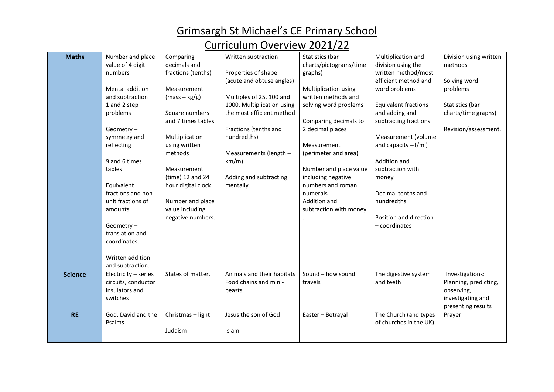Grimsargh St Michael's CE Primary School

## Curriculum Overview 2021/22

| <b>Maths</b>   | Number and place     | Comparing          | Written subtraction        | Statistics (bar        | Multiplication and          | Division using written |
|----------------|----------------------|--------------------|----------------------------|------------------------|-----------------------------|------------------------|
|                | value of 4 digit     | decimals and       |                            | charts/pictograms/time | division using the          | methods                |
|                | numbers              | fractions (tenths) | Properties of shape        | graphs)                | written method/most         |                        |
|                |                      |                    | (acute and obtuse angles)  |                        | efficient method and        | Solving word           |
|                | Mental addition      | Measurement        |                            | Multiplication using   | word problems               | problems               |
|                | and subtraction      | $(mass - kg/g)$    | Multiples of 25, 100 and   | written methods and    |                             |                        |
|                | 1 and 2 step         |                    | 1000. Multiplication using | solving word problems  | <b>Equivalent fractions</b> | Statistics (bar        |
|                | problems             | Square numbers     | the most efficient method  |                        | and adding and              | charts/time graphs)    |
|                |                      | and 7 times tables |                            | Comparing decimals to  | subtracting fractions       |                        |
|                | Geometry-            |                    | Fractions (tenths and      | 2 decimal places       |                             | Revision/assessment.   |
|                | symmetry and         | Multiplication     | hundredths)                |                        | Measurement (volume         |                        |
|                | reflecting           | using written      |                            | Measurement            | and capacity $-1$ /ml)      |                        |
|                |                      | methods            | Measurements (length -     | (perimeter and area)   |                             |                        |
|                | 9 and 6 times        |                    | km/m)                      |                        | Addition and                |                        |
|                | tables               | Measurement        |                            | Number and place value | subtraction with            |                        |
|                |                      | $(time)$ 12 and 24 | Adding and subtracting     | including negative     | money                       |                        |
|                | Equivalent           | hour digital clock | mentally.                  | numbers and roman      |                             |                        |
|                | fractions and non    |                    |                            | numerals               | Decimal tenths and          |                        |
|                | unit fractions of    | Number and place   |                            | Addition and           | hundredths                  |                        |
|                | amounts              | value including    |                            | subtraction with money |                             |                        |
|                |                      | negative numbers.  |                            |                        | Position and direction      |                        |
|                | Geometry-            |                    |                            |                        | $-$ coordinates             |                        |
|                | translation and      |                    |                            |                        |                             |                        |
|                | coordinates.         |                    |                            |                        |                             |                        |
|                |                      |                    |                            |                        |                             |                        |
|                | Written addition     |                    |                            |                        |                             |                        |
|                | and subtraction.     |                    |                            |                        |                             |                        |
| <b>Science</b> | Electricity - series | States of matter.  | Animals and their habitats | Sound - how sound      | The digestive system        | Investigations:        |
|                | circuits, conductor  |                    | Food chains and mini-      | travels                | and teeth                   | Planning, predicting,  |
|                | insulators and       |                    | beasts                     |                        |                             | observing,             |
|                | switches             |                    |                            |                        |                             | investigating and      |
|                |                      |                    |                            |                        |                             | presenting results     |
| <b>RE</b>      | God, David and the   | Christmas - light  | Jesus the son of God       | Easter - Betrayal      | The Church (and types       | Prayer                 |
|                | Psalms.              |                    |                            |                        | of churches in the UK)      |                        |
|                |                      | Judaism            | Islam                      |                        |                             |                        |
|                |                      |                    |                            |                        |                             |                        |